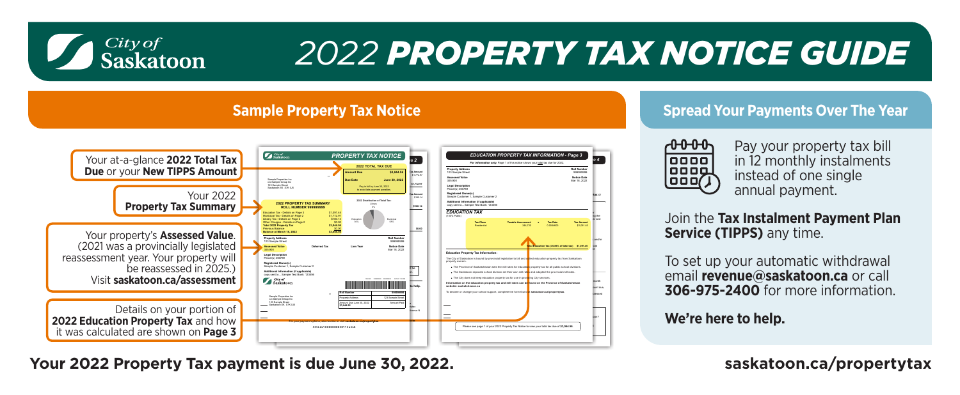

# *2022 PROPERTY TAX NOTICE GUIDE*

### **Sample Property Tax Notice**



## **Your 2022 Property Tax payment is due June 30, 2022. [saskatoon.ca/propertytax](https://www.saskatoon.ca/services-residents/property-tax-assessments/property-tax)**

#### **Spread Your Payments Over The Year**



Pay your property tax bill in 12 monthly instalments instead of one single annual payment.

Join the **Tax Instalment Payment Plan Service (TIPPS)** any time.

To set up your automatic withdrawal email **[revenue@saskatoon.ca](mailto: https://www.saskatoon.ca/services-residents/property-tax-assessments/property-tax/property-assessment-tax-tool)** or call **306-975-2400** for more information.

**We're here to help.**